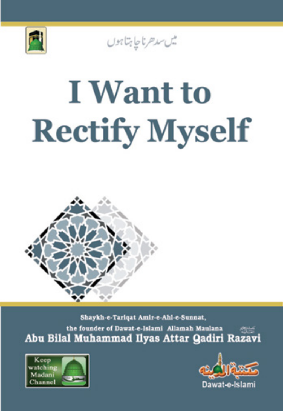

يس سدهرناجا بتاجون

# **I** Want to **Rectify Myself**



Shaykh-e-Tariqat Amir-e-Ahl-e-Sunnat, the founder of Dawat-e-Islami Allamah Maulana Abu Bilal Muhammad Ilyas Attar Qadiri Razavi



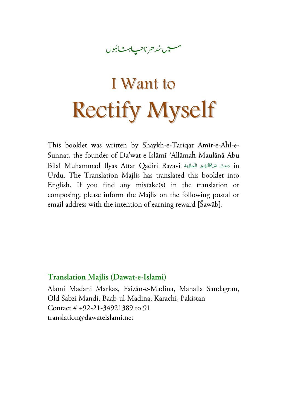#### ناح**پ**اہت\ہُوں l مىيىن *شد ھر* ناحپ<del>اہت ا</del>ئبوں

# I Want to Rectify Myself

This booklet was written by Shaykh-e-Tariqat Amīr-e-Aĥl-e-Sunnat, the founder of Da'wat-e-Islāmī 'Allāmaĥ Maulānā Abu Bilal Muhammad Ilyas Attar Qadiri Razavi دَامَتْ بَرَكَاتُهُمْ الْعَالِيَةْ **ٔ** <u>َ</u> المعلوم<br>المعلوم ا<br>ا ا<br>ا **أَ**ّ **∶ أَ**ّ Urdu. The Translation Majlis has translated this booklet into English. If you find any mistake(s) in the translation or composing, please inform the Majlis on the following postal or email address with the intention of earning reward [Šawāb].

#### **Translation Majlis (Dawat-e-Islami)**

Alami Madani Markaz, Faizān-e-Madina, Mahalla Saudagran, Old Sabzi Mandi, Baab-ul-Madina, Karachi, Pakistan Contact # +92-21-34921389 to 91 translation@dawateislami.net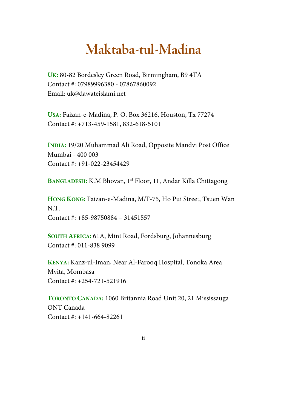## **Maktaba-tul-Madina**

**UK:** 80-82 Bordesley Green Road, Birmingham, B9 4TA Contact #: 07989996380 - 07867860092 Email: uk@dawateislami.net

**USA:** Faizan-e-Madina, P. O. Box 36216, Houston, Tx 77274 Contact #: +713-459-1581, 832-618-5101

**INDIA:** 19/20 Muhammad Ali Road, Opposite Mandvi Post Office Mumbai - 400 003 Contact #: +91-022-23454429

**BANGLADESH:** K.M Bhovan, 1st Floor, 11, Andar Killa Chittagong

**HONG KONG:** Faizan-e-Madina, M/F-75, Ho Pui Street, Tsuen Wan N.T. Contact #: +85-98750884 – 31451557

**SOUTH AFRICA:** 61A, Mint Road, Fordsburg, Johannesburg Contact #: 011-838 9099

**KENYA:** Kanz-ul-Iman, Near Al-Farooq Hospital, Tonoka Area Mvita, Mombasa Contact #: +254-721-521916

**TORONTO CANADA:** 1060 Britannia Road Unit 20, 21 Mississauga ONT Canada Contact #: +141-664-82261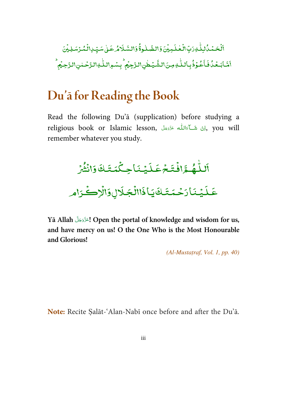.<br>-ٰ ٱلۡحَمۡمُّالِلّٰٰٓ وَرَبِّالٰۡۡعٰلَـٰٓبِيۡنَ؋َالظَّـٰلُوةُۚۚ وَالسَّـَلَامُ عَـٰىٰ سَيِّـٰ اِلۡمُّوۡسَلِيۡنَ ׇ֦֘֝֬֘ ֘ ֓ ٰ֘ ٰ ֦֧ ֓ ់ ٰ l .<br>-ٰ ء<br>خۇفبالل ֦֧֦ í اَمَّابَعُدُٰفَاَعُوْذُبِاللَّٰوِمِنَ\لشَّيْطٰنِ\لرَّجِيُم<sup>ِ ا</sup> ֦֧ , ٰ ׇ֧֦֧֦ مِنَ\لشَّيُطْنِ\لـزَّجِيُم ۚ بِسُمِ{للَّـٰهِ\لـزَّحۡـٰمٰنِ\لـزَّحِيُم ؕ ٰ  $\overline{a}$ ۡ

## **Du'ā for Reading the Book**

Read the following Du'ā (supplication) before studying a religious book or Islamic lesson, الِنْ شَــآءَاللّٰه عَزَدَجَلَّ ,you will <u>أَمَّ</u> <u>أَ</u> ْ َ <u>َ</u> remember whatever you study.

ْ .<br>-فه مَّرَافُ ٰ ړ لـل  $\tilde{\cdot}$ اَللّـٰهُـمَّافۡتَـۡمَ ْ  $\overline{\cdot}$ ׇ֦֚֘ ِ<br>يُنَاجِكُمَتَكَ ֦֧֦֧֦֧֦֧֦֧֦֧֦֧֦֧֡֡֜֜ ْ ֦֧<u>֓</u> عَلَيۡنَاحِكۡمَتَكَ وَانۡثُمۡرَ ْ ْ و .<br>شتر ْ ـي .<br>عَلَيۡنَارَحۡمَتَـ ْ ֦֧֦֧֦֧֦֧֦֧֦֧֦֧֦֧֡֡֜֜  $\overline{\phantom{a}}$ لَقَايَنَا ذَاالًا **ٔ** يَاذَاالُجَلَالِ**وَا**لُ ْ <u>ؗ</u><br>جَلَالٍ وَالْإِكْرَام ْ

Yā Allah <sup>ِل</sup>تَزَدَّجَلَ Open the portal of knowledge and wisdom for us, َ <u>َ</u> **and have mercy on us! O the One Who is the Most Honourable and Glorious!** 

 $(Al-Mustatraf, Vol. I, pp. 40)$ 

**Note:** Recite Ṣalāt-'Alan-Nabī once before and after the Du'ā.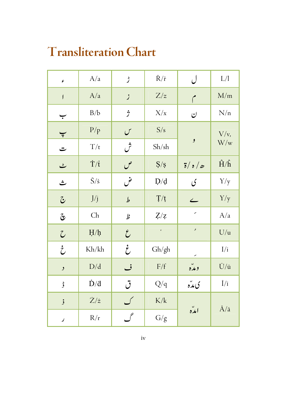# **Transliteration Chart**

| ۶                        | A/a                             | ڑ             | $\check{R}/\check{r}$ | ل                                       | $\mathbf{L}/\mathbf{l}$     |
|--------------------------|---------------------------------|---------------|-----------------------|-----------------------------------------|-----------------------------|
| $\mathfrak f$            | A/a                             | j             | Z/z                   | م                                       | M/m                         |
| ب                        | B/b                             | ڗ             | X/x                   | ن                                       | N/n                         |
| $\overline{\mathbf{v}}$  | P/p                             | $\mathcal{C}$ | S/s                   | و                                       | $V/v$ ,<br>W/w              |
| ت                        | T/t                             | ش             | Sh(sh)                |                                         |                             |
| ٹ                        | $\dot{T}/\dot{t}$               | ص             | S/s                   | $\frac{1}{\delta}$ / $\frac{1}{\delta}$ | $\hat{H}/\hat{h}$           |
| ث                        | $\check{S}/\check{s}$           | ض             | $D/d$                 | ى                                       | Y/y                         |
| $\tilde{\bm{\omega}}$    | J/j                             | $\mathcal{P}$ | $T/t$                 | $\overline{\phantom{0}}$                | Y/y                         |
| ىقى                      | $\mathop{\mathrm{Ch}}\nolimits$ | þ             | Z/z                   | $\overline{\phantom{a}}$                | A/a                         |
| $\mathcal{C}$            | $H/h$                           | $\mathcal{E}$ | $\epsilon$            | $\mathcal{I}$                           | U/u                         |
| $\dot{\zeta}$            | Kh/kh                           | خ             | Gh/gh                 |                                         | I/i                         |
| $\lambda$                | D/d                             | ف             | $\rm F/f$             | ومده                                    | $\bar{U}/\bar{u}$           |
| ۈ                        | $\dot{D}/\dot{d}$               | ڷ             | Q/q                   | ې مدّه                                  | $\overline{l}/\overline{l}$ |
| $\mathbf{\dot{,}}$       | $\dot{Z}/\dot{z}$               | ک             | $\rm K/k$             | امده                                    | $\bar{A}/\bar{a}$           |
| $\overline{\phantom{a}}$ | R/r                             | گ             | G/g                   |                                         |                             |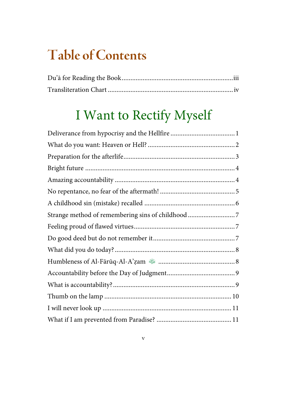# **Table of Contents**

## I Want to Rectify Myself

| Strange method of remembering sins of childhood 7 |
|---------------------------------------------------|
|                                                   |
|                                                   |
|                                                   |
|                                                   |
|                                                   |
|                                                   |
|                                                   |
|                                                   |
|                                                   |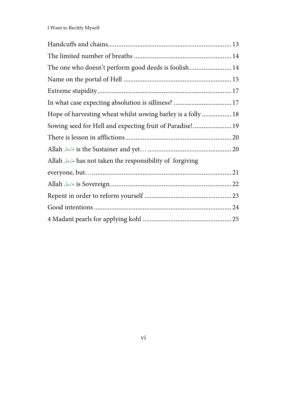| The one who doesn't perform good deeds is foolish 14             |  |
|------------------------------------------------------------------|--|
|                                                                  |  |
|                                                                  |  |
| In what case expecting absolution is silliness?  17              |  |
| Hope of harvesting wheat whilst sowing barley is a folly  18     |  |
| Sowing seed for Hell and expecting fruit of Paradise! 19         |  |
|                                                                  |  |
|                                                                  |  |
| Allah المؤدِّجَلَّ has not taken the responsibility of forgiving |  |
|                                                                  |  |
|                                                                  |  |
|                                                                  |  |
|                                                                  |  |
|                                                                  |  |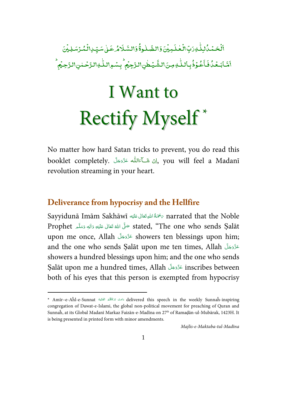.<br>-ٰ ٱلۡحَمۡمُّالِلّٰٰٓ وَرَبِّالٰۡۡعٰلَـٰٓبِيۡنَ؋َالظَّـٰلُوةُۚۚ وَالسَّـَلَامُ عَـٰىٰ سَيِّـٰ اِلۡمُّوۡسَلِيۡنَ ׇ֦֘֝֬֘ ֧֘ ֓ ٰ֧֘ ٰ ֦֧ ֓ ់ ٰ l .<br>-ٰ ء<br>خۇفبالل ֦֧֦ í اَمَّابَعُدُٰفَاَعُوْذُبِاللَّٰوِمِنَ\لشَّيْطٰنِ\لرَّجِيُم<sup>ِ ا</sup> ֦֧ , ٰ ֦֖֦֦֘֝֘ مِنَ\لشَّيُطْنِ\لـزَّجِيُم ۚ بِسُمِ{للَّـٰهِ\لـزَّحۡـٰمٰنِ\لـزَّحِيُم ؕ ٰ  $\overline{a}$ ۡ

# I Want to Rectify Myself\*

No matter how hard Satan tricks to prevent, you do read this booklet completely. اِنْ شَــَاءَالله عَزَّدَجَلَ "you will feel a Madanī <u>أَمَ</u> <u>أَ</u> ْ َ <u>َ</u> revolution streaming in your heart.

#### **Deliverance from hypocrisy and the Hellfire**

 $\overline{a}$ 

Sayyidunā Imām Sakhāwī ه ل ٰالى ع َع َْحم ُة ِ االله ت ر narrated that the Noble **ٔ** َي **E** í َ Prophet ٱلَّه تَعَالَى عَلَيْهِ وَاٰلٰهٖ وَسَلَّمَ Prophet مَتَّلَى اللهُ عَلَيْهِ وَاٰلٰهٖ وَسَلَّمَ **€** <u>َ</u> <u>َ</u> <u>ا</u> َي <u>َ</u> َ ا<br>م upon me once, Allah حَزَّدَجَلَ showers ten blessings upon him; َ **أَ**ّ and the one who sends Ṣalāt upon me ten times, Allah َلّ ج َ ّزَو ع َ َ showers a hundred blessings upon him; and the one who sends Şalāt upon me a hundred times, Allah عَدَّدَجَلَ inscribes between َ <u>َ</u> both of his eyes that this person is exempted from hypocrisy

<sup>\*</sup> Amīr–e-Aĥl-e-Sunnat أَامَتْ بَرَكَاكُمُ الْعَالِيَة delivered this speech in the weekly Sunnaĥ-inspiring ا<br>ا ِ اً ُ َ ا<br>ا congregation of Dawat-e-Islami, the global non-political movement for preaching of Quran and Sunnaĥ, at its Global Madanī Markaz Faizān-e-Madīna on 27th of Ramaḍān-ul-Mubārak, 1423H. It is being presented in printed form with minor amendments.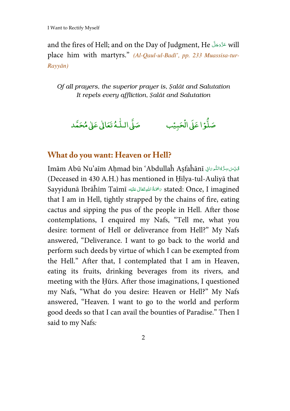and the fires of Hell; and on the Day of Judgment, He َلّ ج َ ّزَو will ع َ َ place him with martyrs." (Al-Qaul-ul-Badī', pp. 233 Muassisa-tur-Rayyān)

*Of all prayers, the superior prayer is,* Ṣ*al*ā*t and Salutation It repels every affliction,* Ṣ*al*ā*t and Salutation* 

صَلُّوۡا عَلَىٰ الۡحَدِ ْ ا عَلَى الْحَبِيُّبِ ۚ مَمَلَى ا l, صَلَّى الـلهُ تَعَالٰى عَلٰى مُحَمَّد ٰ

#### **What do you want: Heaven or Hell?**

Imām Abū Nu'aīm Aḥmad bin 'Abdullaĥ Aṣfaĥānī ڤَيِّسَ سِرُّهٗالنُّو َاللَّهُ بِ į **ُ ٔ** (Deceased in 430 A.H.) has mentioned in Ḥilya-tul-Auliyā that Sayyidunā Ibrāĥīm Taīmī ه ل ٰالى ع َع َْحم ُة ِ االله ت ر stated: Once, I imagined **ٔ** َي َ í **C** that I am in Hell, tightly strapped by the chains of fire, eating cactus and sipping the pus of the people in Hell. After those contemplations, I enquired my Nafs, "Tell me, what you desire: torment of Hell or deliverance from Hell?" My Nafs answered, "Deliverance. I want to go back to the world and perform such deeds by virtue of which I can be exempted from the Hell." After that, I contemplated that I am in Heaven, eating its fruits, drinking beverages from its rivers, and meeting with the Ḥūrs. After those imaginations, I questioned my Nafs, "What do you desire: Heaven or Hell?" My Nafs answered, "Heaven. I want to go to the world and perform good deeds so that I can avail the bounties of Paradise." Then I said to my Nafs: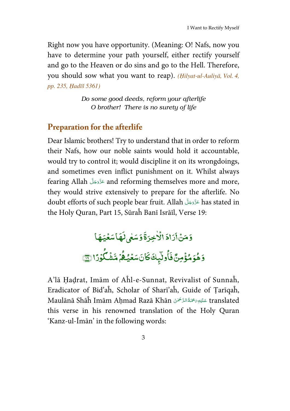Right now you have opportunity. (Meaning: O! Nafs, now you have to determine your path yourself, either rectify yourself and go to the Heaven or do sins and go to the Hell. Therefore, you should sow what you want to reap). (Ḥilyat-ul-Auliyā, Vol. 4, pp. 235, Ḥadīš 5361)

> *Do some good deeds, reform your afterlife O brother! There is no surety of life*

### **Preparation for the afterlife**

Dear Islamic brothers! Try to understand that in order to reform their Nafs, how our noble saints would hold it accountable, would try to control it; would discipline it on its wrongdoings, and sometimes even inflict punishment on it. Whilst always fearing Allah َلّ ج َ ّزَو ع and reforming themselves more and more, َ َ they would strive extensively to prepare for the afterlife. No doubt efforts of such people bear fruit. Allah عَزَّوَجَلَّ has stated in َ <u>َ</u> the Holy Quran, Part 15, Sūraĥ Banī Isrāīl, Verse 19:

> .<br>زادَ وَمَنۡأَرَادَ ֦ .<br>الأخِرَةَ وَسَعٰى لَهَاسَعُيَهَا ٰ ֧֓  $\overline{\phantom{a}}$  $\overline{\phantom{a}}$ ۔<br>سَعٰی لَہ ؞<br>كانَسَعَيُّ  $\overline{\phantom{a}}$ وٽيپك <sup>كن</sup> و ا وَهُوَمُؤْمِنٌ فَ ់ و ِ<br>هُمْ مَّشْكُوْرًا <mark>@</mark> , ۡ ֦֧֦

A'lā Ḥaḍrat, Imām of Aĥl-e-Sunnat, Revivalist of Sunnaĥ, Eradicator of Bid'aĥ, Scholar of Sharī'aĥ, Guide of Ṭarīqaĥ, Maulānā Shāĥ Imām Aḥmad Razā Khān عَلَيْهِ $\tilde{z}$ َ translated َ اللہ میں<br>منابع ة<br>تا ة<br>ما this verse in his renowned translation of the Holy Quran 'Kanz-ul-Īmān' in the following words: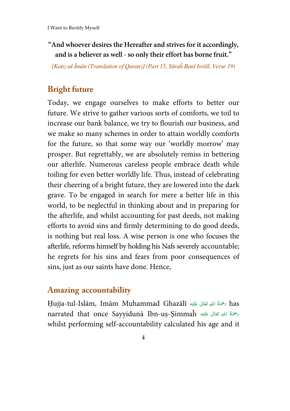#### **"And whoever desires the Hereafter and strives for it accordingly, and is a believer as well - so only their effort has borne fruit."**

[Kanz-ul-Īmān (Translation of Quran)] (Part 15, Sūraĥ Banī Isrāīl, Verse 19)

## **Bright future**

Today, we engage ourselves to make efforts to better our future. We strive to gather various sorts of comforts, we toil to increase our bank balance, we try to flourish our business, and we make so many schemes in order to attain worldly comforts for the future, so that some way our 'worldly morrow' may prosper. But regrettably, we are absolutely remiss in bettering our afterlife. Numerous careless people embrace death while toiling for even better worldly life. Thus, instead of celebrating their cheering of a bright future, they are lowered into the dark grave. To be engaged in search for mere a better life in this world, to be neglectful in thinking about and in preparing for the afterlife, and whilst accounting for past deeds, not making efforts to avoid sins and firmly determining to do good deeds, is nothing but real loss. A wise person is one who focuses the afterlife, reforms himself by holding his Nafs severely accountable; he regrets for his sins and fears from poor consequences of sins, just as our saints have done. Hence,

## **Amazing accountability**

Ḥujja-tul-Islām, Imām Muhammad Ghazālī ه ل ٰالى ع َع َْحم ُة ِ االله ت has ر ْ َي <u>َ</u> <u>َ</u> **ٔ** narrated that once Sayyidunā Ibn-uṣ-Ṣimmaĥ اللهِ تَعَالى عَلَيْه ْ َي í<br>Í í **ٔ** whilst performing self-accountability calculated his age and it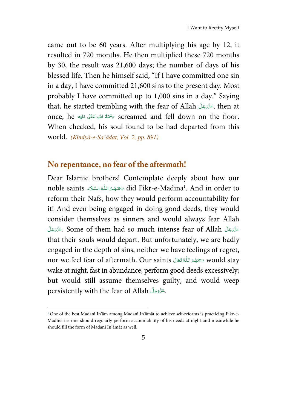came out to be 60 years. After multiplying his age by 12, it resulted in 720 months. He then multiplied these 720 months by 30, the result was 21,600 days; the number of days of his blessed life. Then he himself said, "If I have committed one sin in a day, I have committed 21,600 sins to the present day. Most probably I have committed up to 1,000 sins in a day." Saying that, he started trembling with the fear of Allah َلّ ج َ ّزَو ع, then at َ َ once, he مَحْمَةُ اللهِ تَعَالَى عَلَيْه $\delta$  screamed and fell down on the floor. ֺ֧֧֧֦֧֧֧֧֧ׅ֧֧֝֟֟֓֕֟֓֕֬֟֓֡֬֟֓֬֓֝֬֟֩֓֬֓֝֬֟֩֓֝֬֟֩֓֬֓֝֬֓֬֩֓<sup>֓</sup>֓ َي **E** í **C** When checked, his soul found to be had departed from this world. (Kīmiyā-e-Sa'ādat, Vol. 2, pp. 891)

#### **No repentance, no fear of the aftermath!**

 $\overline{a}$ 

Dear Islamic brothers! Contemplate deeply about how our noble saints حَمَهُمُ اللَّهُ السَّلَاء did Fikr-e-Madīna<sup>1</sup>. And in order to ا<br>ا ا<br>ا ا<br>ا <u>َّأ</u> å<br>. reform their Nafs, how they would perform accountability for it! And even being engaged in doing good deeds, they would consider themselves as sinners and would always fear Allah عَزَّوَجَلَّ Some of them had so much intense fear of Allah ِمَزَّوَجَلَّ َ َ َ َ that their souls would depart. But unfortunately, we are badly engaged in the depth of sins, neither we have feelings of regret, nor we feel fear of aftermath. Our saints سَتَهَمَّ اللَّهُ تَعَالَى saints سَتَهْمَدُ اللَّهَ تَعَالَى anor w الم<br>الأ <u>ا</u> ا<br>ا َ wake at night, fast in abundance, perform good deeds excessively; but would still assume themselves guilty, and would weep persistently with the fear of Allah ِعَزَّوَجَلَّ َ <u>َ</u>

<sup>1</sup> One of the best Madanī In'ām among Madanī In'āmāt to achieve self-reforms is practicing Fikr-e-Madīna i.e. one should regularly perform accountability of his deeds at night and meanwhile he should fill the form of Madanī In'āmāt as well.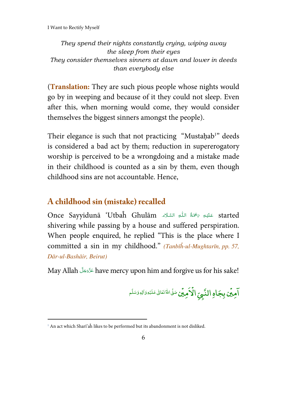They spend their nights constantly crying, wiping away the sleep from their eyes They consider themselves sinners at dawn and lower in deeds than everybody else

(**Translation:** They are such pious people whose nights would go by in weeping and because of it they could not sleep. Even after this, when morning would come, they would consider themselves the biggest sinners amongst the people).

Their elegance is such that not practicing "Mustaḥab<sup>1</sup>" deeds is considered a bad act by them; reduction in supererogatory worship is perceived to be a wrongdoing and a mistake made in their childhood is counted as a sin by them, even though childhood sins are not accountable. Hence,

## **A childhood sin (mistake) recalled**

Once Sayyidunā 'Utbaĥ Ghulām عَلَيْهِ رَحْمَةُ اللّٰهِ السَّلَاء . Í ---Ĵ shivering while passing by a house and suffered perspiration. When people enquired, he replied "This is the place where I committed a sin in my childhood." (Tanbīĥ-ul-Mughtarīn, pp. 57, Dār-ul-Bashāir, Beirut)

May Allah عَزَّدَ have mercy upon him and forgive us for his sake! --

> مِين بِجَا -֘ .<br>۲ امِين بِجَاهِ النَّبِيِّ الأمِين ֘ , **النَّبِيِّ الْاَمِيِّن**ْ صَلَّى اللهُ تَعَالىٰ عَلَيْهِ وَالِهٖوَسَلَّم -l -ۡ ------

l

<sup>1</sup> An act which Sharī'aĥ likes to be performed but its abandonment is not disliked.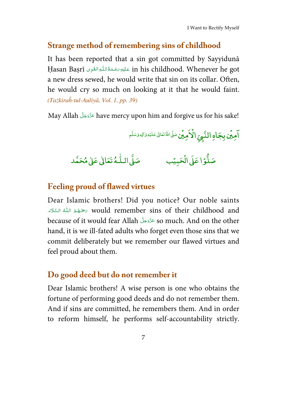## **Strange method of remembering sins of childhood**

It has been reported that a sin got committed by Sayyidunā Hasan Baṣrī عَلَيْهِ رَحْمَةُ اللّٰهِ القَوِى Ḥasan Baṣrī عَلَيْهِ رَحْمَةُ اللّٰهِ القَوِى **ٔ** ∫<br>∫ <u>ا</u> **ٔ** a new dress sewed, he would write that sin on its collar. Often, he would cry so much on looking at it that he would faint. (Tażkiraĥ-tul-Auliyā, Vol. 1, pp. 39)

May Allah عَزَّدَجَلَّ have mercy upon him and forgive us for his sake! َ <u>َ</u>

> مِين بِجَا ֘ .<br>آ امِين بِجَاهِ النّبِيِّ الأمِين ֘ ْ **النَّبِيِّ الْاَمِيِّن**ْ صَلَّى اللَّهُ تَعَالى عَلَيْهِ وَالِهٖ وَسَلَّم l ۡ

صَلَّى الـلُّـهُ تَعَالٰى عَلٰى مُحَمَّد ֦֧֦֧ׅ֦֦֦֦֦֧ׅ֧֦֧֦֧ׅ֧ׅ֧֦֧ׅ֧ׅ֧֦֧ׅ֧֦֧ׅ֧ׅ֧֧֧ׅ֧֦֧֧֧֧֚֚֚֚֚֚֚֚֚֚֚֚֚֚֚֚֚֚֚֚֡֡֜֓֡֟֓֟֓֡֟֓֡֟֓֡֓֡֓֡֓֜֓֓֜֓

#### صَلَّوۡا عَلَىٰ الۡحَدِ ؙ<br>; ا عَلى الحَبِيَّب مَسَى ا ֘

#### **Feeling proud of flawed virtues**

Dear Islamic brothers! Did you notice? Our noble saints **∶** حَمِّدُ اللّٰهُ السَّلَاءَ» would remember sins of their childhood and ∫<br>∫ ا<br>الم ا<br>ا because of it would fear Allah عَزَّوَجَلَ so much. And on the other َ <u>َ</u> hand, it is we ill-fated adults who forget even those sins that we commit deliberately but we remember our flawed virtues and feel proud about them.

## **Do good deed but do not remember it**

Dear Islamic brothers! A wise person is one who obtains the fortune of performing good deeds and do not remember them. And if sins are committed, he remembers them. And in order to reform himself, he performs self-accountability strictly.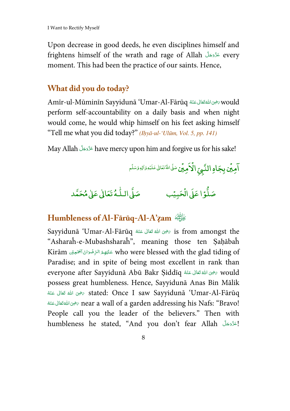Upon decrease in good deeds, he even disciplines himself and frightens himself of the wrath and rage of Allah عَزَّدَجَلَّ every َ <u>َ</u> moment. This had been the practice of our saints. Hence,

## **What did you do today?**

Amīr-ul-Mūminīn Sayyidunā 'Umar-Al-Fārūq تَحْوَىَاللَّهُ تَعَالَى عَنْهُ Pārū í ا<br>م **C** ا<br>أ perform self-accountability on a daily basis and when night would come, he would whip himself on his feet asking himself "Tell me what you did today?" (Ihyā-ul-'Ulūm, Vol. 5, pp. 141)

May Allah عَزَّدَ have mercy upon him and forgive us for his sake! َ <u>َ</u>

> مِين بِجَا ֧֦֧֦֧֦֧֦֧֦֧֦֧֜*֚* .<br>آ امِين بِجَاهِ النّبِيِّ الأمِين ֧֦֧֦֧֦֧֦֧֦֧֦֧֜*֚* ْ **النَّبِيِّ الْاَمِيِّن**ْ صَلَّى اللهُ تَعَالىٰ عَلَيْدِوَالِهٖوَسَلَّم ٰ ۡ

صَلَّوۡا عَلَىٰ الۡحَدِ ْ ا عَلَى ال ֧֦֧<sup>֓</sup> يًب صَلَّى الـلَّـهُ تَعَالَىٰ عَلَىٰ مُحَمَّد ֧֦֧ׅ֦֦֧ׅ֦֧ׅ֧ׅ֧֧ׅ֧ׅ֧֦֧ׅ֧ׅ֧ׅ֧֦֧ׅ֧֦֧֚֚֚֚֚֚֚֚֚֚֚֚֚֚֚֚֚֚֚֚֚֚֡֜֓֡֟֓֡֟֓֡֟֓֡֜֓֡֜֓֓֜֓֓֜֓֜

## **Humbleness of Al-Fārūq-Al-A'**ẓ**am** ؓ◌

Sayyidunā 'Umar-Al-Fārūq حَضِىَ اللهُ تَعَالَى عَنْهُ Erom amongst the َ َ **ا** َ "Asharaĥ-e-Mubashsharaĥ", meaning those ten Ṣaḥābaĥ Kirām عَلَيْهِمُ الرِّضْوَانَ ٱيَجْمَعِينُ Kirām ا<br>ا  $\frac{1}{2}$ ْ **أَ**ّ ֧<u>֓</u> į, Paradise; and in spite of being most excellent in rank than everyone after Sayyidunā Abū Bakr Ṣiddīq رَضِيَ اللهُ تَعَالَى عَنْهُ Everyone after Sayyidunā Abū Bakr َ í ا<br>ا ∫<br>∫ possess great humbleness. Hence, Sayyidunā Anas Bin Mālik قَالِ عَنْهُ تَعَالَى عَنْهُ تَعَالَى عَنْهُ  $\delta$  stated: Once I saw Sayyidunā 'Umar-Al-Fārūq َ **گ C** ا<br>ا َ ا<br>ا نوى اللهَ تَعَالَى عَنْهُ near a wall of a garden addressing his Nafs: "Bravo! َ َ ا<br>م َ People call you the leader of the believers." Then with humbleness he stated, "And you don't fear Allah [اعَزَّوَجَلَ َ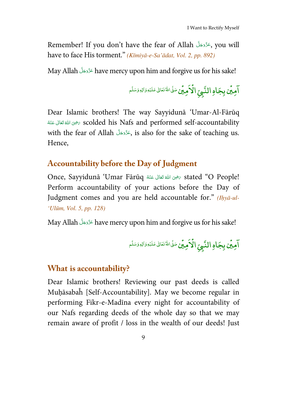Remember! If you don't have the fear of Allah حَذَّدَجَلَ ,you will َ <u>َ</u> have to face His torment." (Kīmiyā-e-Sa'ādat, Vol. 2, pp. 892)

May Allah عَزَّدَ ave mercy upon him and forgive us for his sake! َ **j** 

> مِين بِجَا ֘ .<br>۲ امِين بِجَاهِ النَّبِيِّ الأمِين ֘ ْ **النَّبِيِّ الْآمِينِ سَ**نَّى اللهُ تَعَالىٰ عَلَيْهِ وَالِهٖوَسَلَّم l ۡ

Dear Islamic brothers! The way Sayyidunā 'Umar-Al-Fārūq ا<br>أ ة تَعَالَى عَنْهُ تَعَالَى عَنْهُ  $\sim$  scolded his Nafs and performed self-accountability َ í **گ C** with the fear of Allah ٱلْمَزْحَلَّ si also for the sake of teaching us. َ <u>َ</u> Hence,

### **Accountability before the Day of Judgment**

Once, Sayyidunā 'Umar Fārūq حَيْنَ اللَّهُ تَعَالَى عَنْهُ 100 Once, Sayyidunā 'Umar Fārūq َ <u>َ</u> **گ** َ Perform accountability of your actions before the Day of Judgment comes and you are held accountable for." (Ihyā-ul-'Ulūm, Vol. 5, pp. 128)

May Allah عَزَّدَ ave mercy upon him and forgive us for his sake! َ í

> مِين بِجَا ֧֦֧֦֧֦֧֦֧֦֧֦֧֜*֚* .<br>آ امِين بِجَاهِ النّبِيِّ الأمِين ֧֦֧֦֧֦֧֦֧֦֧֦֧֜*֚* ْ **النَّبِيِّ الْاَمِينِ سَ**نَّاللهُ تَعَالى عَلَيْهِ وَالِهٖوَسَلَّم ٰ ۡ

#### **What is accountability?**

Dear Islamic brothers! Reviewing our past deeds is called Muḥāsabaĥ [Self-Accountability]. May we become regular in performing Fikr-e-Madīna every night for accountability of our Nafs regarding deeds of the whole day so that we may remain aware of profit / loss in the wealth of our deeds! Just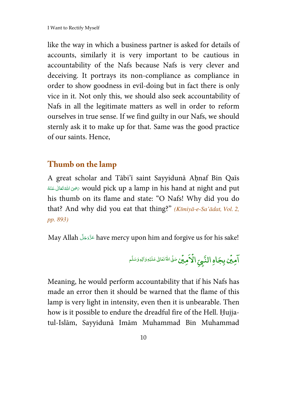like the way in which a business partner is asked for details of accounts, similarly it is very important to be cautious in accountability of the Nafs because Nafs is very clever and deceiving. It portrays its non-compliance as compliance in order to show goodness in evil-doing but in fact there is only vice in it. Not only this, we should also seek accountability of Nafs in all the legitimate matters as well in order to reform ourselves in true sense. If we find guilty in our Nafs, we should sternly ask it to make up for that. Same was the good practice of our saints. Hence,

### **Thumb on the lamp**

A great scholar and Tābi'ī saint Sayyidunā Aḥnaf Bin Qaīs ا<br>ا خَصَ اللهَ تَعَالَى عَنْهُ  $\sigma$  would pick up a lamp in his hand at night and put َ <u>َ</u> **گ** َ his thumb on its flame and state: "O Nafs! Why did you do that? And why did you eat that thing?" (Kīmiyā-e-Sa'ādat, Vol. 2, pp. 893)

May Allah عَزَّوَجَلَّ have mercy upon him and forgive us for his sake! َ <u>َ</u>

> مِين بِجَا ֘ .<br>۲ امِين بِجَاهِ النَّبِيِّ الأمِين ֘ ْ **النَّبِيِّ الْاَمِيِّن**ْ صَلَّى اللهُ تَعَالىٰ عَلَيْهِ وَالِهٖوَسَلَّم l ۡ

Meaning, he would perform accountability that if his Nafs has made an error then it should be warned that the flame of this lamp is very light in intensity, even then it is unbearable. Then how is it possible to endure the dreadful fire of the Hell. Ḥujjatul-Islām, Sayyidunā Imām Muhammad Bin Muhammad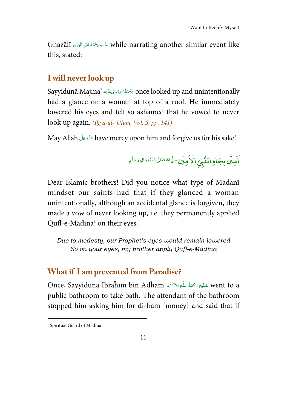Ghazālī عَلَيهِ رَمْحَةُ اللهِ الزَالِى Ghazālī í ļ í j j í this, stated:

#### **I will never look up**

Sayyidunā Majma' سَمْتَانليقَانِ عَلَيْهِ 's once looked up and unintentionally ĺ ć í í had a glance on a woman at top of a roof. He immediately lowered his eyes and felt so ashamed that he vowed to never look up again.  $(Ilv\bar{a}-ul-'Ul\bar{u}m, Vol. 5, pp. 141)$ 

May Allah have mercy upon him and forgive us for his sake! í í

> مِين بِجَا -֘ .<br>آ امِين بِجَاهِ النّبِيِّ الأمِين ֘ , **النَّبِيِّ الْاَمِيِّن**ْ صَلَّى اللَّهُ تَعَالى عَلَيْهِ وَالِهٖ وَسَلَّم -l -ۡ ------

Dear Islamic brothers! Did you notice what type of Madanī mindset our saints had that if they glanced a woman unintentionally, although an accidental glance is forgiven, they made a vow of never looking up, i.e. they permanently applied Qufl-e-Madīna<sup>1</sup> on their eyes.

Due to modesty, our Prophet's eyes would remain lowered So on your eyes, my brother apply Qufl-e-Madīna

#### **What if I am prevented from Paradise?**

Once, Sayyidunā Ibrāĥīm bin Adĥam       !ۡ "# went to a í ļ ĺ í public bathroom to take bath. The attendant of the bathroom stopped him asking him for dirham [money] and said that if

 $\overline{a}$ 

<sup>1</sup> Spiritual Guard of Madīna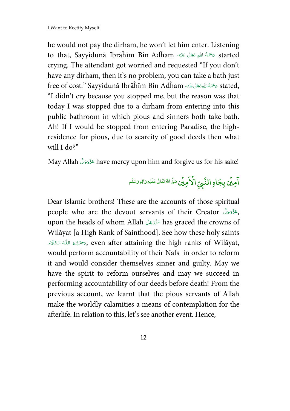he would not pay the dirham, he won't let him enter. Listening to that, Sayyidunā Ibrāĥīm Bin Adĥam حَمْقَةُ اللهِ تَعَالى عَلَيْه ْ َي í<br>Í í **ٔ** crying. The attendant got worried and requested "If you don't have any dirham, then it's no problem, you can take a bath just free of cost." Sayyidunā Ibrāĥīm Bin Adĥam حَمَّةُ اللهِتَعَالى عَلَيْه stated, ֺ֧<u>֓</u> َي **E** َ **C** "I didn't cry because you stopped me, but the reason was that today I was stopped due to a dirham from entering into this public bathroom in which pious and sinners both take bath. Ah! If I would be stopped from entering Paradise, the highresidence for pious, due to scarcity of good deeds then what will I do?"

May Allah عَزَّوَجَلَّ have mercy upon him and forgive us for his sake! َ <u>َ</u>

> مِين بِجَا ֘ .<br>۲ امِين بِجَاهِ النَّبِيِّ الأمِين ֘ ْ **النَّبِيِّ الْاَمِيِّن**ْ صَلَّى اللهُ تَعَالىٰ عَلَيْهِ وَالِهٖوَسَلَّم ٰ ۡ

Dear Islamic brothers! These are the accounts of those spiritual people who are the devout servants of their Creator , عَزَوَجَلَ َ <u>َ</u> upon the heads of whom Allah حَزَّوَجَلَّ has graced the crowns of َ <u>َ</u> Wilāyat [a High Rank of Sainthood]. See how these holy saints **∶** حَمَدُ اللّٰهُ السَّلَاء» $\epsilon,$  even after attaining the high ranks of Wilāyat, ا<br>ا المعلوم<br>المعلوم ا<br>أ d<br>C ؚ<br>ؚ would perform accountability of their Nafs in order to reform it and would consider themselves sinner and guilty. May we have the spirit to reform ourselves and may we succeed in performing accountability of our deeds before death! From the previous account, we learnt that the pious servants of Allah make the worldly calamities a means of contemplation for the afterlife. In relation to this, let's see another event. Hence,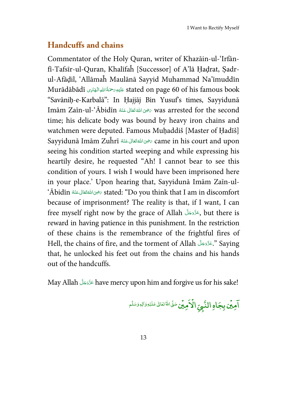#### **Handcuffs and chains**

Commentator of the Holy Quran, writer of Khazāin-ul-'Irfānfī-Tafsīr-ul-Quran, Khalīfaĥ [Successor] of A'lā Ḥaḍrat, Ṣadrul-Afāḍil, 'Allāmaĥ Maulānā Sayyid Muhammad Na'īmuddīn Murādābādī َ ِه ع ل ي ِیاد ر ه ۡـال االله ِ ة ُ َحم stated on page 60 of his famous book َ **ٔ C** ĺ "Savāniḥ-e-Karbalā": In Ḥajjāj Bin Yusuf's times, Sayyidunā Imām Zaīn-ul-ʿĀbidīn ٱلْعَقَالِ عَنْهُ mas arrested for the second َ í ا<br>ا **C** time; his delicate body was bound by heavy iron chains and watchmen were deputed. Famous Muhaddiš [Master of Hadīš] Sayyidunā Imām Zuĥrī َفَوَىاللَّهُ تَعَالَى عَنْهُ $\sigma$  came in his court and upon َ í ا<br>ا ∫<br>ا seeing his condition started weeping and while expressing his heartily desire, he requested "Ah! I cannot bear to see this condition of yours. I wish I would have been imprisoned here in your place.' Upon hearing that, Sayyidunā Imām Zaīn-ul- 'Ābidīn رَحْوَى اللهَ قَتَالى عَنْهُ Stated: "Do you think that I am in discomfort َ َ ا<br>ا ∫<br>∫ because of imprisonment? The reality is that, if I want, I can free myself right now by the grace of Allah َ لَ ع ّ ج وَزّ , but there is َ َ reward in having patience in this punishment. In the restriction of these chains is the remembrance of the frightful fires of Hell, the chains of fire, and the torment of Allah جَزَّوَجَلَّ Saying َ **أَ**ّ that, he unlocked his feet out from the chains and his hands out of the handcuffs.

May Allah عَزَّدَجَلَّ have mercy upon him and forgive us for his sake! َ <u>َ</u>

مِين بِجَا ֘ .<br>۲ امِين بِجَاهِ النَّبِيِّ الأمِين ֘ ْ **النَّبِيِّ الْاَمِيِّن**ْ صَلَّى اللهُ تَعَالىٰ عَلَيْهِ وَالِهٖوَسَلَّم ٰ ۡ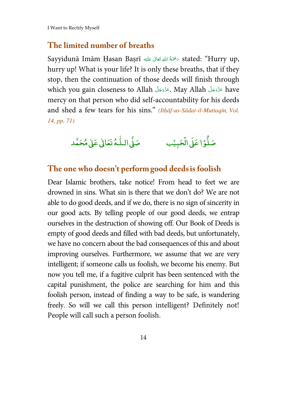I Want to Rectify Myself

#### **The limited number of breaths**

Sayyidunā Imām Ḥasan Baṣrī مَحْمَةُ اللهِ تَعَالَى عَلَيْهِ  $\epsilon$  stated: "Hurry up, **المبادل**ة المسابقة المسابقة المسابقة المسابقة المسابقة المسابقة المسابقة المسابقة المسابقة المسابقة المسابقة<br>المسابقة َي **E** í ∫<br>ا hurry up! What is your life? It is only these breaths, that if they stop, then the continuation of those deeds will finish through which you gain closeness to Allah جَزَّوَجَلَّ May Allah جَرْوَجَلَ have َ <u>َ</u> َ <u>َ</u> mercy on that person who did self-accountability for his deeds and shed a few tears for his sins." (Ithāf-us-Sādat-il-Muttaqīn, Vol. 14, pp. 71)



#### **The one who doesn't performgood deedsis foolish**

Dear Islamic brothers, take notice! From head to feet we are drowned in sins. What sin is there that we don't do? We are not able to do good deeds, and if we do, there is no sign of sincerity in our good acts. By telling people of our good deeds, we entrap ourselves in the destruction of showing off. Our Book of Deeds is empty of good deeds and filled with bad deeds, but unfortunately, we have no concern about the bad consequences of this and about improving ourselves. Furthermore, we assume that we are very intelligent; if someone calls us foolish, we become his enemy. But now you tell me, if a fugitive culprit has been sentenced with the capital punishment, the police are searching for him and this foolish person, instead of finding a way to be safe, is wandering freely. So will we call this person intelligent? Definitely not! People will call such a person foolish.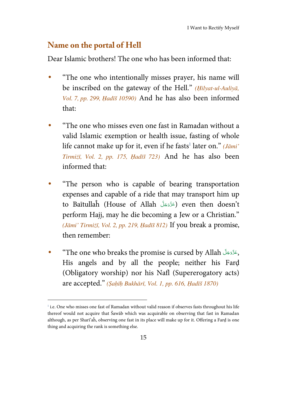#### **Name on the portal of Hell**

l

Dear Islamic brothers! The one who has been informed that:

- "The one who intentionally misses prayer, his name will be inscribed on the gateway of the Hell." (Hilyat-ul-Auliyā, Vol. 7, pp. 299, Ḥadīš 10590) And he has also been informed that:
- "The one who misses even one fast in Ramadan without a valid Islamic exemption or health issue, fasting of whole life cannot make up for it, even if he fasts<sup>1</sup> later on." (Jāmi' Tirmiżī, Vol. 2, pp. 175, Ḥadīš 723) And he has also been informed that:
- "The person who is capable of bearing transportation expenses and capable of a ride that may transport him up to Baītullaĥ (House of Allah عَزَّوَجَلَّ ) even then doesn't َ َ perform Hajj, may he die becoming a Jew or a Christian." (Jāmi' Tirmiżī, Vol. 2, pp. 219, Ḥadīš 812) If you break a promise, then remember:
- "The one who breaks the promise is cursed by Allah حَزَّدَجَلَّ The one who breaks the promise َ <u>َ</u> His angels and by all the people; neither his Farḍ (Obligatory worship) nor his Nafl (Supererogatory acts) are accepted." (Ṣaḥīḥ Bukhārī, Vol. 1, pp. 616, Ḥadīš 1870)

<sup>&</sup>lt;sup>1</sup> i.e. One who misses one fast of Ramadan without valid reason if observes fasts throughout his life thereof would not acquire that Šawāb which was acquirable on observing that fast in Ramadan although, as per Sharī'aĥ, observing one fast in its place will make up for it. Offering a Farḍ is one thing and acquiring the rank is something else.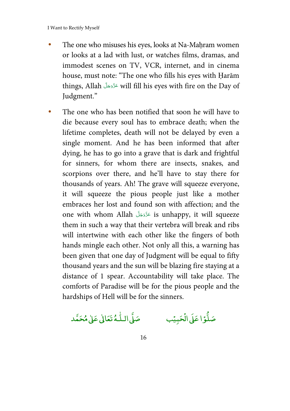- The one who misuses his eyes, looks at Na-Mahram women or looks at a lad with lust, or watches films, dramas, and immodest scenes on TV, VCR, internet, and in cinema house, must note: "The one who fills his eyes with Ḥarām things, Allah عَزَّوَجَلّ will fill his eyes with fire on the Day of َ َ Judgment."
- The one who has been notified that soon he will have to die because every soul has to embrace death; when the lifetime completes, death will not be delayed by even a single moment. And he has been informed that after dying, he has to go into a grave that is dark and frightful for sinners, for whom there are insects, snakes, and scorpions over there, and he'll have to stay there for thousands of years. Ah! The grave will squeeze everyone, it will squeeze the pious people just like a mother embraces her lost and found son with affection; and the one with whom Allah َلّ ج َ ّزَو ع is unhappy, it will squeeze َ َ them in such a way that their vertebra will break and ribs will intertwine with each other like the fingers of both hands mingle each other. Not only all this, a warning has been given that one day of Judgment will be equal to fifty thousand years and the sun will be blazing fire staying at a distance of 1 spear. Accountability will take place. The comforts of Paradise will be for the pious people and the hardships of Hell will be for the sinners.

يًب صَلَّى الـلَّـهُ تَعَالَىٰ عَلَىٰ مُحَمَّد ٰ

صَلُّوۡا عَلَىٰ الۡحَدِ ْ ا عَلَى ال l,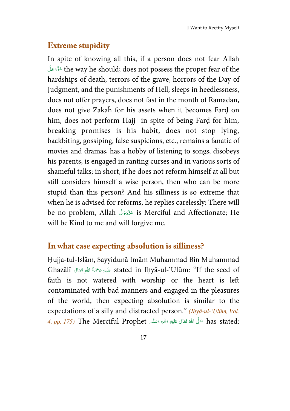### **Extreme stupidity**

In spite of knowing all this, if a person does not fear Allah قَرَّمَةَ the way he should; does not possess the proper fear of the َ <u>َ</u> hardships of death, terrors of the grave, horrors of the Day of Judgment, and the punishments of Hell; sleeps in heedlessness, does not offer prayers, does not fast in the month of Ramadan, does not give Zakāĥ for his assets when it becomes Farḍ on him, does not perform Hajj in spite of being Farḍ for him, breaking promises is his habit, does not stop lying, backbiting, gossiping, false suspicions, etc., remains a fanatic of movies and dramas, has a hobby of listening to songs, disobeys his parents, is engaged in ranting curses and in various sorts of shameful talks; in short, if he does not reform himself at all but still considers himself a wise person, then who can be more stupid than this person? And his silliness is so extreme that when he is advised for reforms, he replies carelessly: There will be no problem, Allah َلّ ج َ ّزَو ع is Merciful and Affectionate; He َ َ will be Kind to me and will forgive me.

#### **In what case expecting absolution is silliness?**

Ḥujja-tul-Islām, Sayyidunā Imām Muhammad Bin Muhammad Ghazālī عَلَيهِ رَحْمَةُ اللهِ الوَالِى Stated in Iḥyā-ul-'Ulūm: "If the seed of َ **C** ِ ا **∫** faith is not watered with worship or the heart is left contaminated with bad manners and engaged in the pleasures of the world, then expecting absolution is similar to the expectations of a silly and distracted person." (Ihyā-ul-'Ulūm, Vol. 4, pp. 175) The Merciful Prophet حَلَّى اللهُ تَعَالَى عَلَيْهِ وَاللهِ وَسَلَّم  $\,$  has stated: َ <u>ٔ</u> َي **E** í **گ ∶** <u>َ</u>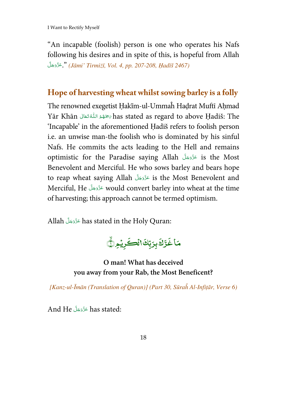"An incapable (foolish) person is one who operates his Nafs following his desires and in spite of this, is hopeful from Allah :<br>. قَرَّوَجَلَّ, " (Jāmi' Tirmiżī, Vol. 4, pp. 207-208, Hadīš 2467) --

#### **Hope of harvesting wheat whilst sowing barley is a folly**

The renowned exegetist Hakīm-ul-Ummaĥ Hadrat Muftī Ahmad Yār Khān  - -   has stated as regard to above Ḥadiš: The í í -'Incapable' in the aforementioned Ḥadiš refers to foolish person i.e. an unwise man-the foolish who is dominated by his sinful Nafs. He commits the acts leading to the Hell and remains optimistic for the Paradise saying Allah عَزَّدَجَلَّ is the Most --Benevolent and Merciful. He who sows barley and bears hope to reap wheat saying Allah عَزَّدَ is the Most Benevolent and --Merciful, He عَزَّدَجَلَ would convert barley into wheat at the time -of harvesting; this approach cannot be termed optimism.

Allah عَزَّدَجَلَّ has stated in the Holy Quran: --

مَاغَرَّكَ بِرَبِّكَالُكَـكِرِيْمِرْ<mark>ي</mark>َ ֓ J ِ<br>غَرَّكَ غَرَّكَ برَبِّكَاالْكَرِيْمِرِيُّ

**O man! What has deceived you away from your Rab, the Most Beneficent?** 

[Kanz-ul-Īmān (Translation of Quran)] (Part 30, Sūraĥ Al-Infiṭār, Verse 6)

And He - - - has stated: --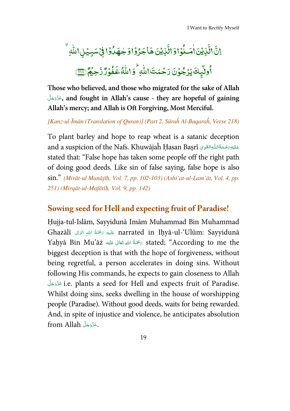.<br>نْزِيْنَ هَاجَرُوْا وَ ֧֓<sup>֓</sup>֓ .<br>ۇاۋال ֚֘ è. .<br>نيتين<del>ام</del> ٰ ֧֓ ă اڑ اِنَّالَّٰذِيۡنَ ٰامَـٰذُوۡاوَالَّٰٰٓٓئِيۡنَ هَاجَرُوۡاوَجْهَدُٰوۡا فِیۡسَبِیۡلِ اللّٰهِ ٰ ֘ ; ٰ .<br>وليلف يَرُجُوْنَ رَحْمَتَ\اللَّهِ ۚ وَ ٰ ؚ<br>؛ ֧֦֘ ş أُولَيْهِكَ يَزْجُوْنَ رَحْمَتَ\للّٰهِ ۚ وَاللّٰهُ غَفُوۡرٌ رَّحِيۡمٌ ۚ  $^{\bullet}$ و<br>فُوَرٌرٌ  $\overline{\phantom{a}}$ اللَّهُ غَفُوُرٌ رَّحِيمٌ ١ ٰ

**Those who believed, and those who migrated for the sake of Allah**  ّلَ ج َ ّزَو ع**, and fought in Allah's cause - they are hopeful of gaining**  َ **أَ**ّ **Allah's mercy; and Allah is Oft Forgiving, Most Merciful.** 

[Kanz-ul-Īmān (Translation of Quran)] (Part 2, Sūraĥ Al-Baqaraĥ, Verse 218)

To plant barley and hope to reap wheat is a satanic deception and a suspicion of the Nafs. Khuwājaĥ Ḥasan Baṣrī عَلَيْهِ رَحْمَةُاللّٰهِ التَّقْوِى آ **ٔ ا** ֺ֧<u>֓</u> <u>ً</u> ِ َ stated that: "False hope has taken some people off the right path of doing good deeds. Like sin of false saying, false hope is also sin." (Mirāt-ul Manājīḥ, Vol. 7, pp. 102-103) (Ashi'at-ul-Lam'āt, Vol. 4, pp. 251) (Mirqāt-ul-Mafātīḥ, Vol. 9, pp. 142)

#### **Sowing seed for Hell and expecting fruit of Paradise!**

Ḥujja-tul-Islām, Sayyidunā Imām Muhammad Bin Muhammad Ghazālī عَلَيْهِ رَحْمَةُ اللهِ الوَالِى Ghazālī عَلَيْهِ رَحْمَةُ اللهِ الوَالِي Ghazālī í ِ َ ِ ا **أَ**ّ Yaḥyā Bin Mu'āż مخْمَةُ اللهِ تَعَالَى عَلَيْه Stated; "According to me the **ٔ** َي َ <u>َ</u> َ biggest deception is that with the hope of forgiveness, without being regretful, a person accelerates in doing sins. Without following His commands, he expects to gain closeness to Allah ّلَ ج َ ّزَو ع i.e. plants a seed for Hell and expects fruit of Paradise. َ <u>َ</u> Whilst doing sins, seeks dwelling in the house of worshipping people (Paradise). Without good deeds, waits for being rewarded. And, in spite of injustice and violence, he anticipates absolution from Allah آخَرَّدَ<del>جَ</del>لَ َ **أَ**ّ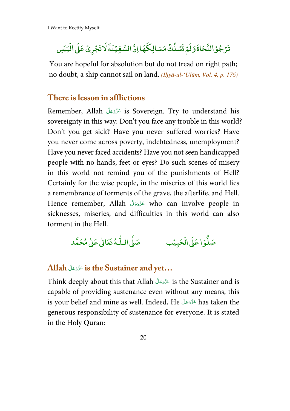#### تَرَجُوۡ النَّجَاةَ وَلَمۡ نَسۡـٰلُكۡ مَسَـالِكَهَا اِنَّ السَّفِيۡنَةَ لَاتَجۡرِىۡ عَلَى الۡيَبَسِ ֧֦֧֦֧֦֧֦֧֦֧֦֧֜*֚* ׇ֘֒ ֧֦֧֦֧֦֧֦֧֦֧֦֧<u>֓</u> ֧֦֧֦֧֦֧֦֧֦֧֦֧֜*֚*

You are hopeful for absolution but do not tread on right path; no doubt, a ship cannot sail on land. (Ihyā-ul-'Ulūm, Vol. 4, p. 176)

#### **There is lesson in afflictions**

Remember, Allah المَتَّزَوَجَلَّ is Sovereign. Try to understand his َ <u>َ</u> sovereignty in this way: Don't you face any trouble in this world? Don't you get sick? Have you never suffered worries? Have you never come across poverty, indebtedness, unemployment? Have you never faced accidents? Have you not seen handicapped people with no hands, feet or eyes? Do such scenes of misery in this world not remind you of the punishments of Hell? Certainly for the wise people, in the miseries of this world lies a remembrance of torments of the grave, the afterlife, and Hell. Hence remember, Allah عَزَّوَجَلَّ who can involve people in َ <u>َ</u> sicknesses, miseries, and difficulties in this world can also torment in the Hell.

> صَلَّوۡا عَلَىٰ الۡحَدِ ؙ<br>֧**֧** ا عَل<mark>ى</mark> ال ֧֦֧֦֧֦֧֦֧֦֧֦֧֜*֚* يًب صَلَّى الـلَّـهُ تَعَالَىٰ عَلَىٰ مُحَمَّد ֦֧֦֦֦֦֧ׅ֦֦֧ׅ֧֦֧ׅ֧֦֧ׅׅ֧֦֧ׅ֧ׅ֧֦֧ׅ֧ׅ֧֦֧֧ׅ֧֧֧ׅ֧֧֧֧֚֚֚֚֚֚֚֚֚֚֚֚֚֚֚֚֚֚֚֚֚֡֡֟֓֡֟֓֡֟֓֡֟֓֡֜֓֡֟֓֡֟֓֡֓֓֓

#### ّلَ **Allah** ج َ ّزَو ع **is the Sustainer and yet…** َ َ

Think deeply about this that Allah عَزَّوَجَلَّ is the Sustainer and is َ <u>َ</u> capable of providing sustenance even without any means, this is your belief and mine as well. Indeed, He عَزَّدَجَلَّ has taken the <u>ا</u> generous responsibility of sustenance for everyone. It is stated in the Holy Quran: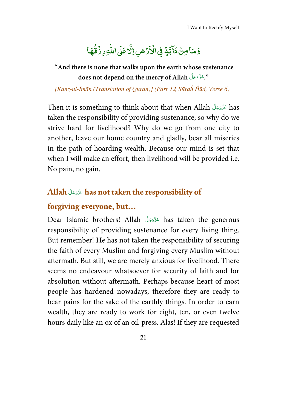#### -وَمَامِنۡ دَآبَّةٍ فِىٰالۡاَرۡضِ ֓ -֘ -.<br>يامين<mark>د</mark>َ **مَامِنُ دَآبَّةٍ فِیْ**الۡاَرۡضِۢالَّاصَلَ -, --ٳڷ**ۜ**ٲۘۘۘٵؘٙؠ۩ڵ*ڮ*ڔۯ**ؙڨؘۿ**ٵ -و <mark>ا</mark>للّٰہِ رِزۡ<mark>ۊ</mark>ُ ֦֧<sup>֓</sup>֧֓ ٰ

 **"And there is none that walks upon the earth whose sustenance**  does not depend on the mercy of Allah آهندگر allah --

[Kanz-ul-Īmān (Translation of Quran)] (Part 12, Sūraĥ Ĥūd, Verse 6)

Then it is something to think about that when Allah كَرَّدَجَلَّ has -taken the responsibility of providing sustenance; so why do we strive hard for livelihood? Why do we go from one city to another, leave our home country and gladly, bear all miseries in the path of hoarding wealth. Because our mind is set that when I will make an effort, then livelihood will be provided i.e. No pain, no gain.

#### **Allah** - - -  **has not taken the responsibility of**  --

#### **forgiving everyone, but…**

Dear Islamic brothers! Allah مَدَّدَّجَلَ has taken the generous -responsibility of providing sustenance for every living thing. But remember! He has not taken the responsibility of securing the faith of every Muslim and forgiving every Muslim without aftermath. But still, we are merely anxious for livelihood. There seems no endeavour whatsoever for security of faith and for absolution without aftermath. Perhaps because heart of most people has hardened nowadays, therefore they are ready to bear pains for the sake of the earthly things. In order to earn wealth, they are ready to work for eight, ten, or even twelve hours daily like an ox of an oil-press. Alas! If they are requested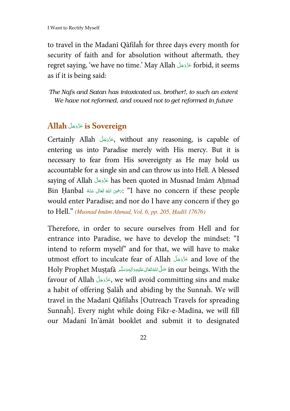to travel in the Madanī Qāfilaĥ for three days every month for security of faith and for absolution without aftermath, they regret saying, 'we have no time.' May Allah عَزَّوَجَلَّ forbid, it seems َ as if it is being said:

*The Nafs and Satan has intoxicated us, brother!, to such an extent We have not reformed, and vowed not to get reformed in future* 

#### ّلَ **Allah** ج َ ّزَو ع **is Sovereign**  َ <u>َ</u>

Certainly Allah جَزَّدَجَلَّ without any reasoning, is capable of َ <u>َ</u> entering us into Paradise merely with His mercy. But it is necessary to fear from His sovereignty as He may hold us accountable for a single sin and can throw us into Hell. A blessed saying of Allah عَزَّوَجَلَّ has been quoted in Musnad Imām Aḥmad َ <u>َ</u> Bin Ḥanbal ٱللهُ تَعَالَى عَنْهُ Dave no concern if these people َ <u>َ</u> **گ** َ would enter Paradise; and nor do I have any concern if they go to Hell." (Musnad Imām Aḥmad, Vol. 6, pp. 205, Ḥadīš 17676)

Therefore, in order to secure ourselves from Hell and for entrance into Paradise, we have to develop the mindset: "I intend to reform myself" and for that, we will have to make utmost effort to inculcate fear of Allah َلّ ج َ ّزَو ع and love of the َ <u>َ</u> Holy Prophet Muṣṭafā حَلَّىَاللَّهُ تَعَالى عَلَيْهِ وَاٰلِهٖ وَسَلَّم Holy Prophet Muṣṭafā حَلَّى اللَّهُ تَعَالِى عَلَيْهِ َ **ٔ ٔ ٔ** َي َ <u>َ</u> ُ favour of Allah جَزَّدَجَلَ we will avoid committing sins and make َ <u>َ</u> a habit of offering Ṣalāĥ and abiding by the Sunnaĥ. We will travel in the Madanī Qāfilaĥs [Outreach Travels for spreading Sunnaĥ]. Every night while doing Fikr-e-Madīna, we will fill our Madanī In'āmāt booklet and submit it to designated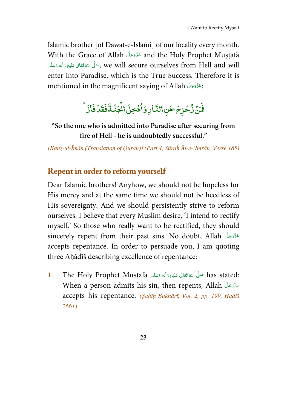Islamic brother [of Dawat-e-Islami] of our locality every month. With the Grace of Allah عَزَّدَجَلَّ and the Holy Prophet Muṣṭafā َ َ َ ضَّ الله تَعَالَى عَلَيْهِ وَاللهِ وَسَلَّم **∶** <u>َ</u> <u>َ</u> **ٔ** َي ُ َ ا<br>م enter into Paradise, which is the True Success. Therefore it is mentioned in the magnificent saying of Allah  $\,$ المَعَزَّوَجَلَّ َ َ

#### ار و ِ<br>لَمَنۡ ٰرُّحۡزِــَٖۖ عَنِ!لنَّـ ؚ<br>ۣ .<br>نمره ب<sup>و</sup> جا ساستان گ<sup>و</sup>ندا u دخجل ់ ş اْدۡخِلَ١لۡجَنَّـٰةَفَقَدۡفَازَ ِ<br>قَدْفَ  $\overline{\phantom{a}}$  ف ֦ ة ر<br>الْجَدَّ ֓

**"So the one who is admitted into Paradise after securing from fire of Hell - he is undoubtedly successful."** 

[Kanz-ul-Īmān (Translation of Quran)] (Part 4, Sūraĥ Āl-e-'Imrān, Verse 185)

## **Repent in order to reform yourself**

Dear Islamic brothers! Anyhow, we should not be hopeless for His mercy and at the same time we should not be heedless of His sovereignty. And we should persistently strive to reform ourselves. I believe that every Muslim desire, 'I intend to rectify myself.' So those who really want to be rectified, they should sincerely repent from their past sins. No doubt, Allah عَزَّوَجَلَّ مَالَ َ َ accepts repentance. In order to persuade you, I am quoting three Aḥādīš describing excellence of repentance:

l. The Holy Prophet Muṣṭafā صَلَّى اللهُ قَعَالَى عَلَيْهِ وَاللهِ وَسَلَّم as stated: **∶** <u>أ</u> <u>أ</u> **ٔ** َي **E** í ا<br>ا When a person admits his sin, then repents, Allah عَزَّوَجَلَّ مَسْلاً َ َ accepts his repentance. (Saḥīḥ Bukhārī, Vol. 2, pp. 199, Ḥadīš 2661)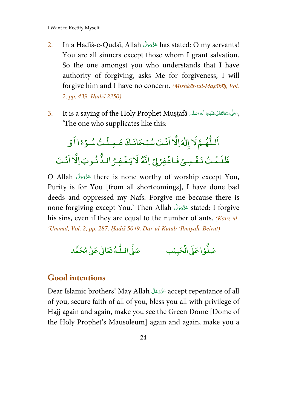- $2.$  In a Ḥadīš-e-Qudsī, Allah عَزَّوَجَلَ has stated: O my servants! َ <u>َ</u> You are all sinners except those whom I grant salvation. So the one amongst you who understands that I have authority of forgiving, asks Me for forgiveness, I will forgive him and I have no concern. (Mishkāt-tul-Maṣābīḥ, Vol. 2, pp. 439, Ḥadīš 2350)
- 3. It is a saying of the Holy Prophet Muṣṭafā مَتَلَى الله عَلَيْهِ وَاللهِ وَسَلَّد مِنْ الله عَلَيْهِ وَالله **€** <u>َ</u> <u>َ</u> **ٔ** َي **E** í **گ** 'The one who supplicates like this:

#### اَللّٰهُمَّ لَا إِلٰهَ إِلَّا اَنۡتَ سُبۡحَانَكَ عَمِـلۡتُ سُـوۡءًا اَوۡ ֧֧֧֧֧֧ׅ֧֦֧ׅ֧֧֧ׅ֧֧ׅ֧֦֧֦֧֧ׅ֧֧֪֪֧֧֧֚֚֚֚֚֚֚֚֚֚֚֚֚֚֚֚֚֚֚֚֝֝֓֟֓֟֓֟֓֟֓֟֓֡֟֓֝֓֜֓֝֬֜֓֟֓֝֬֜֓֝֬֝֝֬֝֟֝֟֝֬ ֘ ֧֦֧֦֧֦֧֦֧֦֧֦֧֜*֚* ֘ ֘֒ ظَلَمْتُ نَفُسِيۡ فَاغۡفِرۡلِىۡ اِنَّهُ لَايَغۡفِرُ الذَّنُوبَ اِلَّا اَنۡتَ ۡ ֘֒ ֘ ֧֦֧֦֧֦֧֦֧֦֧֦֧֦֧֜֜ ֧֦֧֦֧֦֧֦֧֦֧֦֧֦֧

O Allah عَزَّوَجَلَّ there is none worthy of worship except You, َ <u>َ</u> Purity is for You [from all shortcomings], I have done bad deeds and oppressed my Nafs. Forgive me because there is none forgiving except You.' Then Allah َلّ ج َ ّزَو ع stated: I forgive َ <u>َ</u> his sins, even if they are equal to the number of ants. (Kanz-ul-'Ummāl, Vol. 2, pp. 287, Ḥadīš 5049, Dār-ul-Kutub 'Ilmīyaĥ, Beirut)

صَلَّوۡا عَلَىٰ الۡحَدِ ْ ا عَلَى ال ֧֦֧֦֧֦֧֦֧֦֧֦֧֜*֚* يًب صَلَّى الـلَّـهُ تَعَالَىٰ عَلَىٰ مُحَمَّد ֦֧֦֧ׅ֦֦֧ׅ֦֧ׅ֧ׅ֧ׅ֧֧֚֚֚֚֚֚֚֚֚֚֚֚֚֚֚֚֚֚֚֚֚֡֡֜֓֡֟֓֟֓֡֟֓֡֜֓֡֜֓֓֜֓

#### **Good intentions**

Dear Islamic brothers! May Allah َلّ ج َ ّزَو ع accept repentance of all َ <u>َ</u> of you, secure faith of all of you, bless you all with privilege of Hajj again and again, make you see the Green Dome [Dome of the Holy Prophet's Mausoleum] again and again, make you a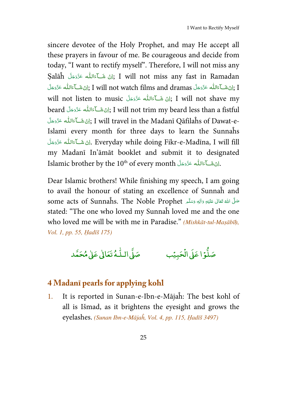sincere devotee of the Holy Prophet, and may He accept all these prayers in favour of me. Be courageous and decide from today, "I want to rectify myself". Therefore, I will not miss any Şalāĥ لِنْ شَـآءَاللّٰه عَزَّدَجَلَ Şalāĥ زَانْ شَـآءَاللّٰه عَزَّدَجَلَ; I will not miss any fast in Ramadan <u>أَمَّ</u> <u>أَ</u> ْ َ <u>َ</u> النَّهُ عَزَّدَجَلَّ I will not watch films and dramas إِنْ شَآءَاللَّه عَزَّدَجَلَ $\,$  I **أَمُ j** ْ َ **ا s** ْ َ ا<br>ا will not listen to music إِنْ شَكَّءَاللَّه عَزَّدَجَلَّ ,I will not shave my **s** <u>أَمَّة</u> ْ َ <u>َ</u> beard فَرَوْجَلَّا لِللهِ عَزَوْجَلَّا, I will not trim my beard less than a fistful **E** <u>أَ</u> ْ َ <u>َ</u> ِ الِنْ شَــآءَاللّٰه عَزَّوَجَلَ $\,$  I will travel in the Madanī Qāfilaĥs of Dawat-e**s j** ْ <u>َ</u> Islami every month for three days to learn the Sunnaĥs لِنْ شَــآءَاللّٰه عَزَّدَجَلَ. Everyday while doing Fikr-e-Madīna, I will fill <u>أَ</u> **E ائی** ا َ ا<br>ا my Madanī In'āmāt booklet and submit it to designated Islamic brother by the  $10^{\rm th}$  of every month الله عَزَّوَجَلَّا. **s** <u>أ</u> ْ َ í

Dear Islamic brothers! While finishing my speech, I am going to avail the honour of stating an excellence of Sunnaĥ and some acts of Sunnaĥs. The Noble Prophet مَتَلَى عَلَيْهِ وَاللهِ وَسَلَّم  $\vec{a}$ َ َ <u>َ</u> **ٔ** َي **E** í **گ** stated: "The one who loved my Sunnaĥ loved me and the one who loved me will be with me in Paradise." (Mishkāt-tul-Masābīh, Vol. 1, pp. 55, Ḥadīš 175)

صَلَّوۡا عَلَىٰ الۡحَدِ ؙ<br>֧**֧**  ال ا ع بي ا ֧֦֧֦֧֦֧֦֧֦֧֦֧֜*֚* صَلَّى الـلُّـهُ تَعَالٰى عَلٰى مُحَمَّد ֦֧֦֦֦֦֧ׅ֦֦֧ׅ֧֦֧ׅ֧֦֧ׅׅ֧֦֧ׅ֧ׅ֧֦֧ׅ֧ׅ֧֦֧֧ׅ֧֧֧ׅ֧֧֧֧֚֚֚֚֚֚֚֚֚֚֚֚֚֚֚֚֚֚֚֚֚֡֡֟֓֡֟֓֡֟֓֡֟֓֡֜֓֡֟֓֡֟֓֡֓֓֓

#### **4 Madanī pearls for applying kohl**

1. It is reported in Sunan-e-Ibn-e-Mājaĥ: The best kohl of all is Išmad, as it brightens the eyesight and grows the eyelashes. (Sunan Ibn-e-Mājaĥ, Vol. 4, pp. 115, Ḥadīš 3497)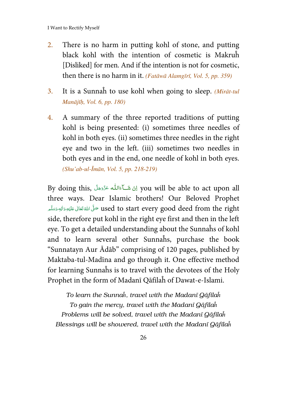- 2. There is no harm in putting kohl of stone, and putting black kohl with the intention of cosmetic is Makruĥ [Disliked] for men. And if the intention is not for cosmetic, then there is no harm in it. (Fatāwā Alamgīrī, Vol. 5, pp. 359)
- 3. It is a Sunnah to use kohl when going to sleep. *(Mirāt-tul*) Manājīḥ, Vol. 6, pp. 180)
- 4. A summary of the three reported traditions of putting kohl is being presented: (i) sometimes three needles of kohl in both eyes. (ii) sometimes three needles in the right eye and two in the left. (iii) sometimes two needles in both eyes and in the end, one needle of kohl in both eyes. (Shu'ab-ul-Īmān, Vol. 5, pp. 218-219)

By doing this, النَّ شَكَّ ءَاللَّه عَذَّذجَلَ By doing this, اللَّهُ عَذَّذجَلَ <u>أَمَّ</u> <u>أَ</u> ْ َ <u>َ</u> three ways. Dear Islamic brothers! Our Beloved Prophet used to start every good deed from the right صَلَّى اللهُ قَعَالَى عَلَيْهِ وَالْهِ وَسَلَّم **C** <u>َ</u> <u>َ</u> <u>ا</u> َي **E** <u>َّة</u> ا<br>م side, therefore put kohl in the right eye first and then in the left eye. To get a detailed understanding about the Sunnaĥs of kohl and to learn several other Sunnaĥs, purchase the book "Sunnatayn Aur Ādāb" comprising of 120 pages, published by Maktaba-tul-Madīna and go through it. One effective method for learning Sunnaĥs is to travel with the devotees of the Holy Prophet in the form of Madanī Qāfilaĥ of Dawat-e-Islami.

*To learn the Sunna*ĥ*, travel with the Madan*ī *Q*ā*fila*ĥ *To gain the mercy, travel with the Madan*ī *Q*ā*fila*ĥ *Problems will be solved, travel with the Madan*ī *Q*ā*fila*ĥ *Blessings will be showered, travel with the Madan*ī *Q*ā*fila*ĥ